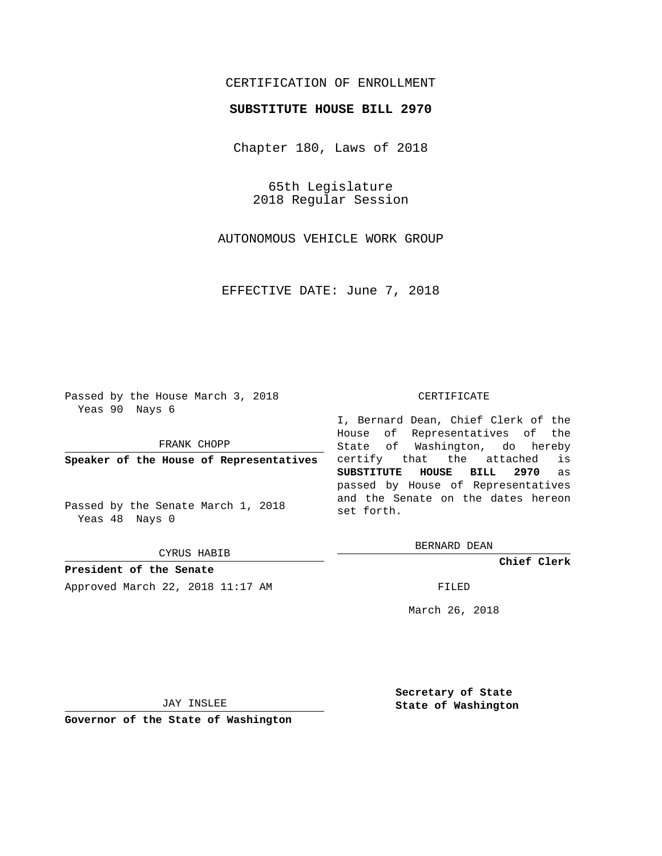## CERTIFICATION OF ENROLLMENT

### **SUBSTITUTE HOUSE BILL 2970**

Chapter 180, Laws of 2018

65th Legislature 2018 Regular Session

AUTONOMOUS VEHICLE WORK GROUP

EFFECTIVE DATE: June 7, 2018

Passed by the House March 3, 2018 Yeas 90 Nays 6

FRANK CHOPP

**Speaker of the House of Representatives**

Passed by the Senate March 1, 2018 Yeas 48 Nays 0

CYRUS HABIB

**President of the Senate** Approved March 22, 2018 11:17 AM FILED

#### CERTIFICATE

I, Bernard Dean, Chief Clerk of the House of Representatives of the State of Washington, do hereby certify that the attached is **SUBSTITUTE HOUSE BILL 2970** as passed by House of Representatives and the Senate on the dates hereon set forth.

BERNARD DEAN

**Chief Clerk**

March 26, 2018

JAY INSLEE

**Governor of the State of Washington**

**Secretary of State State of Washington**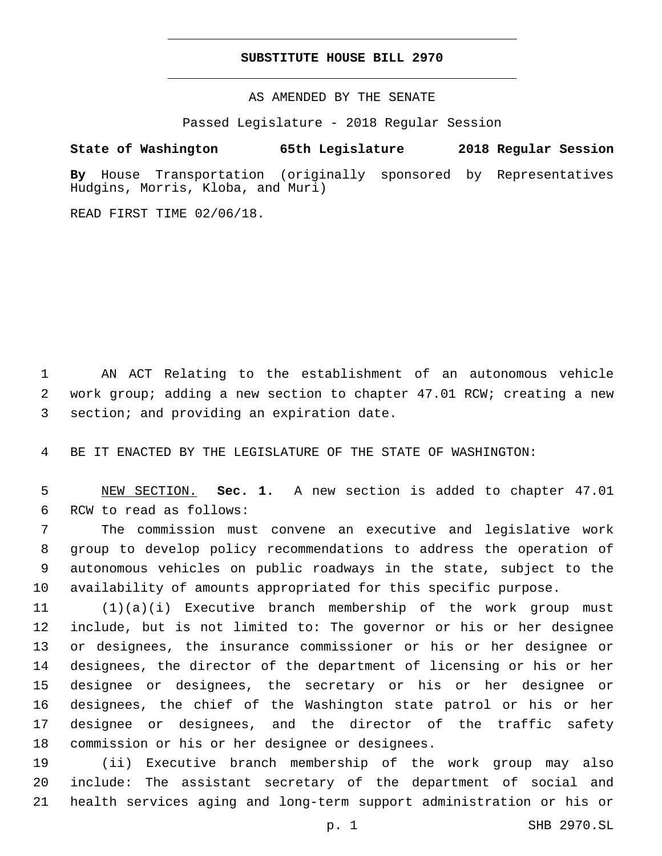#### **SUBSTITUTE HOUSE BILL 2970**

AS AMENDED BY THE SENATE

Passed Legislature - 2018 Regular Session

# **State of Washington 65th Legislature 2018 Regular Session**

**By** House Transportation (originally sponsored by Representatives Hudgins, Morris, Kloba, and Muri)

READ FIRST TIME 02/06/18.

 AN ACT Relating to the establishment of an autonomous vehicle work group; adding a new section to chapter 47.01 RCW; creating a new 3 section; and providing an expiration date.

BE IT ENACTED BY THE LEGISLATURE OF THE STATE OF WASHINGTON:

 NEW SECTION. **Sec. 1.** A new section is added to chapter 47.01 6 RCW to read as follows:

 The commission must convene an executive and legislative work group to develop policy recommendations to address the operation of autonomous vehicles on public roadways in the state, subject to the availability of amounts appropriated for this specific purpose.

 (1)(a)(i) Executive branch membership of the work group must include, but is not limited to: The governor or his or her designee or designees, the insurance commissioner or his or her designee or designees, the director of the department of licensing or his or her designee or designees, the secretary or his or her designee or designees, the chief of the Washington state patrol or his or her designee or designees, and the director of the traffic safety 18 commission or his or her designee or designees.

 (ii) Executive branch membership of the work group may also include: The assistant secretary of the department of social and health services aging and long-term support administration or his or

p. 1 SHB 2970.SL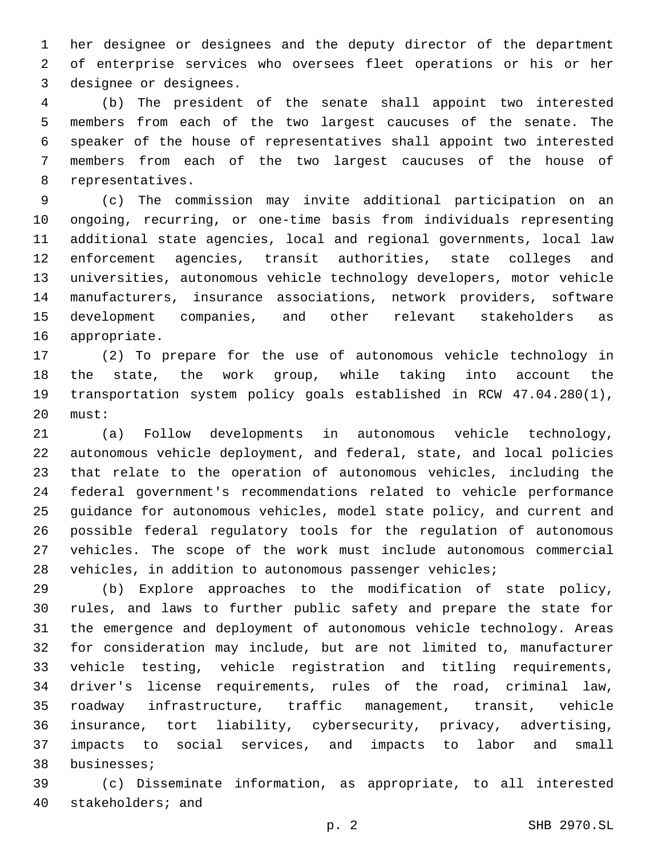her designee or designees and the deputy director of the department of enterprise services who oversees fleet operations or his or her 3 designee or designees.

 (b) The president of the senate shall appoint two interested members from each of the two largest caucuses of the senate. The speaker of the house of representatives shall appoint two interested members from each of the two largest caucuses of the house of 8 representatives.

 (c) The commission may invite additional participation on an ongoing, recurring, or one-time basis from individuals representing additional state agencies, local and regional governments, local law enforcement agencies, transit authorities, state colleges and universities, autonomous vehicle technology developers, motor vehicle manufacturers, insurance associations, network providers, software development companies, and other relevant stakeholders as 16 appropriate.

 (2) To prepare for the use of autonomous vehicle technology in the state, the work group, while taking into account the transportation system policy goals established in RCW 47.04.280(1), 20 must:

 (a) Follow developments in autonomous vehicle technology, autonomous vehicle deployment, and federal, state, and local policies that relate to the operation of autonomous vehicles, including the federal government's recommendations related to vehicle performance guidance for autonomous vehicles, model state policy, and current and possible federal regulatory tools for the regulation of autonomous vehicles. The scope of the work must include autonomous commercial vehicles, in addition to autonomous passenger vehicles;

 (b) Explore approaches to the modification of state policy, rules, and laws to further public safety and prepare the state for the emergence and deployment of autonomous vehicle technology. Areas for consideration may include, but are not limited to, manufacturer vehicle testing, vehicle registration and titling requirements, driver's license requirements, rules of the road, criminal law, roadway infrastructure, traffic management, transit, vehicle insurance, tort liability, cybersecurity, privacy, advertising, impacts to social services, and impacts to labor and small 38 businesses;

 (c) Disseminate information, as appropriate, to all interested 40 stakeholders; and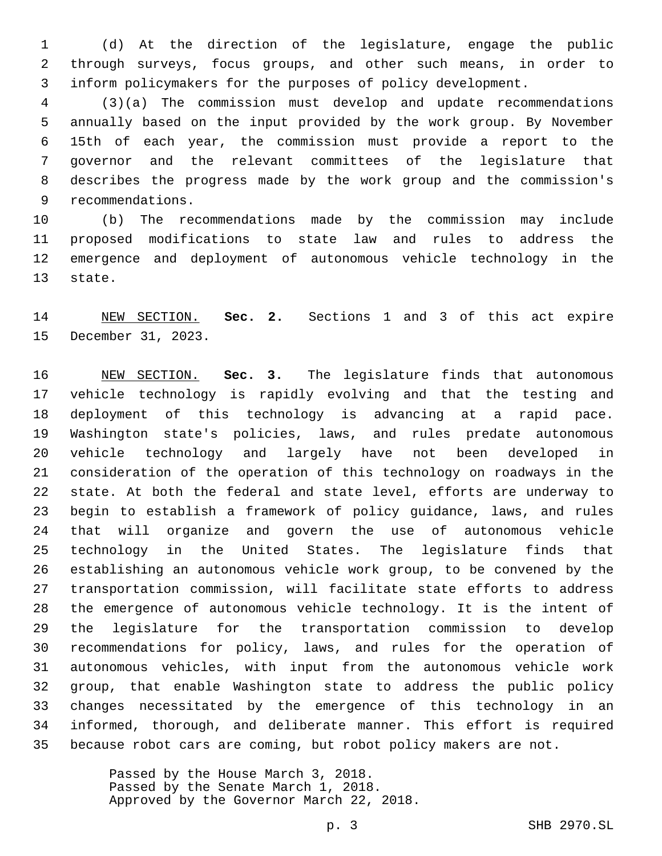(d) At the direction of the legislature, engage the public through surveys, focus groups, and other such means, in order to inform policymakers for the purposes of policy development.

 (3)(a) The commission must develop and update recommendations annually based on the input provided by the work group. By November 15th of each year, the commission must provide a report to the governor and the relevant committees of the legislature that describes the progress made by the work group and the commission's 9 recommendations.

 (b) The recommendations made by the commission may include proposed modifications to state law and rules to address the emergence and deployment of autonomous vehicle technology in the 13 state.

 NEW SECTION. **Sec. 2.** Sections 1 and 3 of this act expire December 31, 2023.

 NEW SECTION. **Sec. 3.** The legislature finds that autonomous vehicle technology is rapidly evolving and that the testing and deployment of this technology is advancing at a rapid pace. Washington state's policies, laws, and rules predate autonomous vehicle technology and largely have not been developed in consideration of the operation of this technology on roadways in the state. At both the federal and state level, efforts are underway to begin to establish a framework of policy guidance, laws, and rules that will organize and govern the use of autonomous vehicle technology in the United States. The legislature finds that establishing an autonomous vehicle work group, to be convened by the transportation commission, will facilitate state efforts to address the emergence of autonomous vehicle technology. It is the intent of the legislature for the transportation commission to develop recommendations for policy, laws, and rules for the operation of autonomous vehicles, with input from the autonomous vehicle work group, that enable Washington state to address the public policy changes necessitated by the emergence of this technology in an informed, thorough, and deliberate manner. This effort is required because robot cars are coming, but robot policy makers are not.

> Passed by the House March 3, 2018. Passed by the Senate March 1, 2018. Approved by the Governor March 22, 2018.